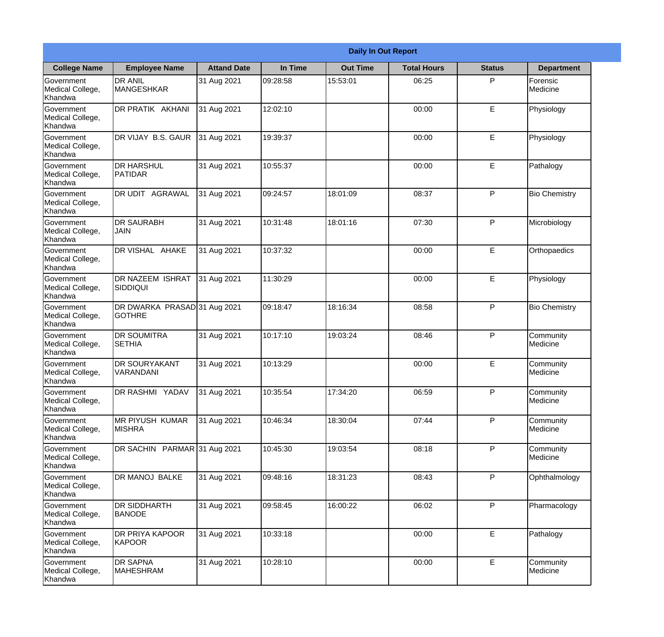|                                           | <b>Daily In Out Report</b>                    |                    |          |                 |                    |               |                       |  |
|-------------------------------------------|-----------------------------------------------|--------------------|----------|-----------------|--------------------|---------------|-----------------------|--|
| <b>College Name</b>                       | <b>Employee Name</b>                          | <b>Attand Date</b> | In Time  | <b>Out Time</b> | <b>Total Hours</b> | <b>Status</b> | <b>Department</b>     |  |
| Government<br>Medical College,<br>Khandwa | <b>DR ANIL</b><br><b>MANGESHKAR</b>           | 31 Aug 2021        | 09:28:58 | 15:53:01        | 06:25              | P             | Forensic<br>Medicine  |  |
| Government<br>Medical College,<br>Khandwa | DR PRATIK AKHANI                              | 31 Aug 2021        | 12:02:10 |                 | 00:00              | E             | Physiology            |  |
| Government<br>Medical College,<br>Khandwa | DR VIJAY B.S. GAUR                            | 31 Aug 2021        | 19:39:37 |                 | 00:00              | E             | Physiology            |  |
| Government<br>Medical College,<br>Khandwa | <b>DR HARSHUL</b><br>PATIDAR                  | 31 Aug 2021        | 10:55:37 |                 | 00:00              | E             | Pathalogy             |  |
| Government<br>Medical College,<br>Khandwa | DR UDIT AGRAWAL                               | 31 Aug 2021        | 09:24:57 | 18:01:09        | 08:37              | P             | <b>Bio Chemistry</b>  |  |
| Government<br>Medical College,<br>Khandwa | <b>DR SAURABH</b><br><b>JAIN</b>              | 31 Aug 2021        | 10:31:48 | 18:01:16        | 07:30              | P             | Microbiology          |  |
| Government<br>Medical College,<br>Khandwa | DR VISHAL AHAKE                               | 31 Aug 2021        | 10:37:32 |                 | 00:00              | E             | Orthopaedics          |  |
| Government<br>Medical College,<br>Khandwa | <b>DR NAZEEM ISHRAT</b><br><b>SIDDIQUI</b>    | 31 Aug 2021        | 11:30:29 |                 | 00:00              | E             | Physiology            |  |
| Government<br>Medical College,<br>Khandwa | DR DWARKA PRASAD 31 Aug 2021<br><b>GOTHRE</b> |                    | 09:18:47 | 18:16:34        | 08:58              | P             | <b>Bio Chemistry</b>  |  |
| Government<br>Medical College,<br>Khandwa | <b>DR SOUMITRA</b><br><b>SETHIA</b>           | 31 Aug 2021        | 10:17:10 | 19:03:24        | 08:46              | P             | Community<br>Medicine |  |
| Government<br>Medical College,<br>Khandwa | DR SOURYAKANT<br>VARANDANI                    | 31 Aug 2021        | 10:13:29 |                 | 00:00              | E             | Community<br>Medicine |  |
| Government<br>Medical College,<br>Khandwa | DR RASHMI YADAV                               | 31 Aug 2021        | 10:35:54 | 17:34:20        | 06:59              | P             | Community<br>Medicine |  |
| Government<br>Medical College,<br>Khandwa | <b>MR PIYUSH KUMAR</b><br><b>MISHRA</b>       | 31 Aug 2021        | 10:46:34 | 18:30:04        | 07:44              | P             | Community<br>Medicine |  |
| Government<br>Medical College,<br>Khandwa | DR SACHIN PARMAR 31 Aug 2021                  |                    | 10:45:30 | 19:03:54        | 08:18              | P             | Community<br>Medicine |  |
| Government<br>Medical College,<br>Khandwa | DR MANOJ BALKE                                | 31 Aug 2021        | 09:48:16 | 18:31:23        | 08:43              | P             | Ophthalmology         |  |
| Government<br>Medical College,<br>Khandwa | DR SIDDHARTH<br><b>BANODE</b>                 | 31 Aug 2021        | 09:58:45 | 16:00:22        | 06:02              | P             | Pharmacology          |  |
| Government<br>Medical College,<br>Khandwa | DR PRIYA KAPOOR<br>KAPOOR                     | 31 Aug 2021        | 10:33:18 |                 | 00:00              | E             | Pathalogy             |  |
| Government<br>Medical College,<br>Khandwa | DR SAPNA<br><b>MAHESHRAM</b>                  | 31 Aug 2021        | 10:28:10 |                 | 00:00              | E             | Community<br>Medicine |  |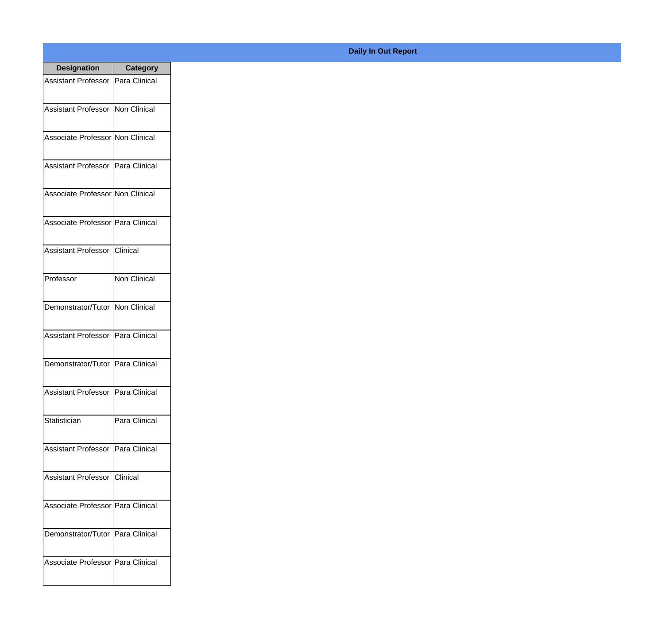| <b>Designation</b>                  | <b>Category</b>     |
|-------------------------------------|---------------------|
| Assistant Professor   Para Clinical |                     |
| Assistant Professor   Non Clinical  |                     |
| Associate Professor Non Clinical    |                     |
| Assistant Professor   Para Clinical |                     |
| Associate Professor Non Clinical    |                     |
| Associate Professor Para Clinical   |                     |
| Assistant Professor   Clinical      |                     |
| Professor                           | <b>Non Clinical</b> |
| Demonstrator/Tutor   Non Clinical   |                     |
| <b>Assistant Professor</b>          | Para Clinical       |
| Demonstrator/Tutor   Para Clinical  |                     |
| Assistant Professor   Para Clinical |                     |
| Statistician                        | Para Clinical       |
| Assistant Professor   Para Clinical |                     |
| <b>Assistant Professor</b>          | <b>Clinical</b>     |
| Associate Professor   Para Clinical |                     |
| Demonstrator/Tutor   Para Clinical  |                     |
| Associate Professor Para Clinical   |                     |

## **Daily In Out Report**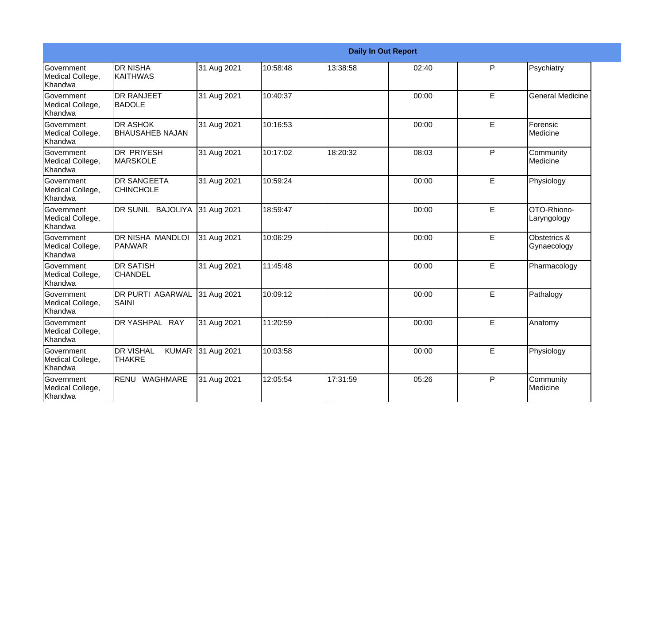|                                                         | <b>Daily In Out Report</b>                        |             |          |          |       |              |                              |  |
|---------------------------------------------------------|---------------------------------------------------|-------------|----------|----------|-------|--------------|------------------------------|--|
| Government<br>Medical College,<br>Khandwa               | <b>DR NISHA</b><br><b>KAITHWAS</b>                | 31 Aug 2021 | 10:58:48 | 13:38:58 | 02:40 | P            | Psychiatry                   |  |
| <b>Government</b><br>Medical College,<br>Khandwa        | <b>IDR RANJEET</b><br><b>BADOLE</b>               | 31 Aug 2021 | 10:40:37 |          | 00:00 | E            | <b>General Medicine</b>      |  |
| <b>Government</b><br>Medical College,<br>Khandwa        | <b>I</b> DR ASHOK<br><b>BHAUSAHEB NAJAN</b>       | 31 Aug 2021 | 10:16:53 |          | 00:00 | E            | Forensic<br>Medicine         |  |
| <b>Government</b><br>Medical College,<br>Khandwa        | IDR PRIYESH<br><b>MARSKOLE</b>                    | 31 Aug 2021 | 10:17:02 | 18:20:32 | 08:03 | P            | Community<br><b>Medicine</b> |  |
| <b>Government</b><br>Medical College,<br><b>Khandwa</b> | <b>DR SANGEETA</b><br><b>CHINCHOLE</b>            | 31 Aug 2021 | 10:59:24 |          | 00:00 | E.           | Physiology                   |  |
| <b>Government</b><br>Medical College,<br>Khandwa        | DR SUNIL BAJOLIYA                                 | 31 Aug 2021 | 18:59:47 |          | 00:00 | $\mathsf E$  | OTO-Rhiono-<br>Laryngology   |  |
| Government<br>Medical College,<br>Khandwa               | IDR NISHA MANDLOI<br><b>PANWAR</b>                | 31 Aug 2021 | 10:06:29 |          | 00:00 | E            | Obstetrics &<br>Gynaecology  |  |
| Government<br>Medical College,<br><b>Khandwa</b>        | <b>DR SATISH</b><br><b>CHANDEL</b>                | 31 Aug 2021 | 11:45:48 |          | 00:00 | E            | Pharmacology                 |  |
| <b>Government</b><br>Medical College,<br>Khandwa        | <b>DR PURTI AGARWAL</b><br><b>SAINI</b>           | 31 Aug 2021 | 10:09:12 |          | 00:00 | $\mathsf E$  | Pathalogy                    |  |
| Government<br>Medical College,<br>Khandwa               | DR YASHPAL RAY                                    | 31 Aug 2021 | 11:20:59 |          | 00:00 | E            | Anatomy                      |  |
| Government<br>Medical College,<br>Khandwa               | <b>DR VISHAL</b><br><b>KUMAR</b><br><b>THAKRE</b> | 31 Aug 2021 | 10:03:58 |          | 00:00 | E            | Physiology                   |  |
| Government<br>Medical College,<br>Khandwa               | RENU<br>WAGHMARE                                  | 31 Aug 2021 | 12:05:54 | 17:31:59 | 05:26 | $\mathsf{P}$ | Community<br>Medicine        |  |